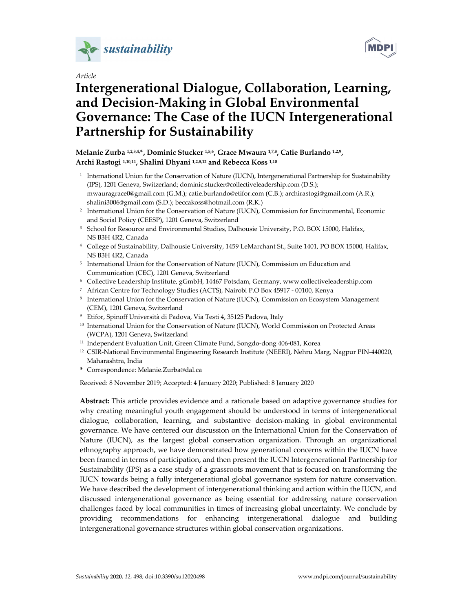

*Article*



# **Intergenerational Dialogue, Collaboration, Learning, and Decision‐Making in Global Environmental Governance: The Case of the IUCN Intergenerational Partnership for Sustainability**

# **Melanie Zurba 1,2,3,4,\*, Dominic Stucker 1,5,6, Grace Mwaura 1,7,8, Catie Burlando 1,2,9, Archi Rastogi 1,10,11, Shalini Dhyani 1,2,8,12 and Rebecca Koss 1,10**

- <sup>1</sup> International Union for the Conservation of Nature (IUCN), Intergenerational Partnership for Sustainability (IPS), 1201 Geneva, Switzerland; dominic.stucker@collectiveleadership.com (D.S.); mwauragrace0@gmail.com (G.M.); catie.burlando@etifor.com (C.B.); archirastogi@gmail.com (A.R.); shalini3006@gmail.com (S.D.); beccakoss@hotmail.com (R.K.)
- <sup>2</sup> International Union for the Conservation of Nature (IUCN), Commission for Environmental, Economic and Social Policy (CEESP), 1201 Geneva, Switzerland
- <sup>3</sup> School for Resource and Environmental Studies, Dalhousie University, P.O. BOX 15000, Halifax, NS B3H 4R2, Canada
- <sup>4</sup> College of Sustainability, Dalhousie University, 1459 LeMarchant St., Suite 1401, PO BOX 15000, Halifax, NS B3H 4R2, Canada
- <sup>5</sup> International Union for the Conservation of Nature (IUCN), Commission on Education and Communication (CEC), 1201 Geneva, Switzerland
- <sup>6</sup> Collective Leadership Institute, gGmbH, 14467 Potsdam, Germany, www.collectiveleadership.com
- <sup>7</sup> African Centre for Technology Studies (ACTS), Nairobi P.O Box 45917 ‐ 00100, Kenya
- <sup>8</sup> International Union for the Conservation of Nature (IUCN), Commission on Ecosystem Management (CEM), 1201 Geneva, Switzerland
- <sup>9</sup> Etifor, Spinoff Università di Padova, Via Testi 4, 35125 Padova, Italy
- <sup>10</sup> International Union for the Conservation of Nature (IUCN), World Commission on Protected Areas (WCPA), 1201 Geneva, Switzerland
- <sup>11</sup> Independent Evaluation Unit, Green Climate Fund, Songdo-dong 406-081, Korea
- <sup>12</sup> CSIR‐National Environmental Engineering Research Institute (NEERI), Nehru Marg, Nagpur PIN‐440020, Maharashtra, India
- **\*** Correspondence: Melanie.Zurba@dal.ca

Received: 8 November 2019; Accepted: 4 January 2020; Published: 8 January 2020

**Abstract:** This article provides evidence and a rationale based on adaptive governance studies for why creating meaningful youth engagement should be understood in terms of intergenerational dialogue, collaboration, learning, and substantive decision‐making in global environmental governance. We have centered our discussion on the International Union for the Conservation of Nature (IUCN), as the largest global conservation organization. Through an organizational ethnography approach, we have demonstrated how generational concerns within the IUCN have been framed in terms of participation, and then present the IUCN Intergenerational Partnership for Sustainability (IPS) as a case study of a grassroots movement that is focused on transforming the IUCN towards being a fully intergenerational global governance system for nature conservation. We have described the development of intergenerational thinking and action within the IUCN, and discussed intergenerational governance as being essential for addressing nature conservation challenges faced by local communities in times of increasing global uncertainty. We conclude by providing recommendations for enhancing intergenerational dialogue and building intergenerational governance structures within global conservation organizations.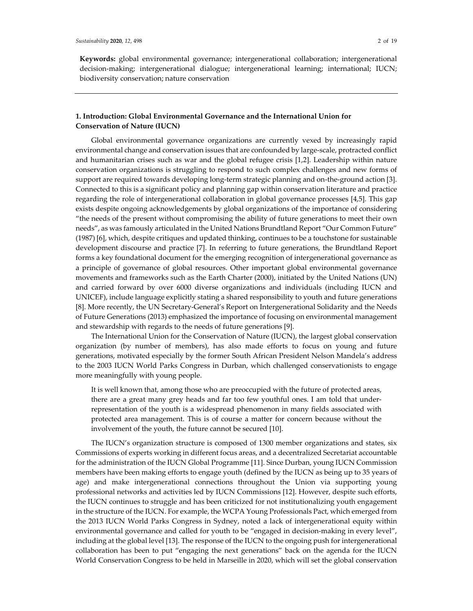**Keywords:** global environmental governance; intergenerational collaboration; intergenerational decision‐making; intergenerational dialogue; intergenerational learning; international; IUCN; biodiversity conservation; nature conservation

# **1. Introduction: Global Environmental Governance and the International Union for Conservation of Nature (IUCN)**

Global environmental governance organizations are currently vexed by increasingly rapid environmental change and conservation issues that are confounded by large-scale, protracted conflict and humanitarian crises such as war and the global refugee crisis [1,2]. Leadership within nature conservation organizations is struggling to respond to such complex challenges and new forms of support are required towards developing long-term strategic planning and on-the-ground action [3]. Connected to this is a significant policy and planning gap within conservation literature and practice regarding the role of intergenerational collaboration in global governance processes [4,5]. This gap exists despite ongoing acknowledgements by global organizations of the importance of considering "the needs of the present without compromising the ability of future generations to meet their own needs", as was famously articulated in the United Nations Brundtland Report "Our Common Future" (1987) [6], which, despite critiques and updated thinking, continues to be a touchstone for sustainable development discourse and practice [7]. In referring to future generations, the Brundtland Report forms a key foundational document for the emerging recognition of intergenerational governance as a principle of governance of global resources. Other important global environmental governance movements and frameworks such as the Earth Charter (2000), initiated by the United Nations (UN) and carried forward by over 6000 diverse organizations and individuals (including IUCN and UNICEF), include language explicitly stating a shared responsibility to youth and future generations [8]. More recently, the UN Secretary‐General's Report on Intergenerational Solidarity and the Needs of Future Generations (2013) emphasized the importance of focusing on environmental management and stewardship with regards to the needs of future generations [9].

The International Union for the Conservation of Nature (IUCN), the largest global conservation organization (by number of members), has also made efforts to focus on young and future generations, motivated especially by the former South African President Nelson Mandela's address to the 2003 IUCN World Parks Congress in Durban, which challenged conservationists to engage more meaningfully with young people.

It is well known that, among those who are preoccupied with the future of protected areas, there are a great many grey heads and far too few youthful ones. I am told that under‐ representation of the youth is a widespread phenomenon in many fields associated with protected area management. This is of course a matter for concern because without the involvement of the youth, the future cannot be secured [10].

The IUCN's organization structure is composed of 1300 member organizations and states, six Commissions of experts working in different focus areas, and a decentralized Secretariat accountable for the administration of the IUCN Global Programme [11]. Since Durban, young IUCN Commission members have been making efforts to engage youth (defined by the IUCN as being up to 35 years of age) and make intergenerational connections throughout the Union via supporting young professional networks and activities led by IUCN Commissions [12]. However, despite such efforts, the IUCN continues to struggle and has been criticized for not institutionalizing youth engagement in the structure of the IUCN. For example, the WCPA Young Professionals Pact, which emerged from the 2013 IUCN World Parks Congress in Sydney, noted a lack of intergenerational equity within environmental governance and called for youth to be "engaged in decision-making in every level", including at the global level [13]. The response of the IUCN to the ongoing push for intergenerational collaboration has been to put "engaging the next generations" back on the agenda for the IUCN World Conservation Congress to be held in Marseille in 2020, which will set the global conservation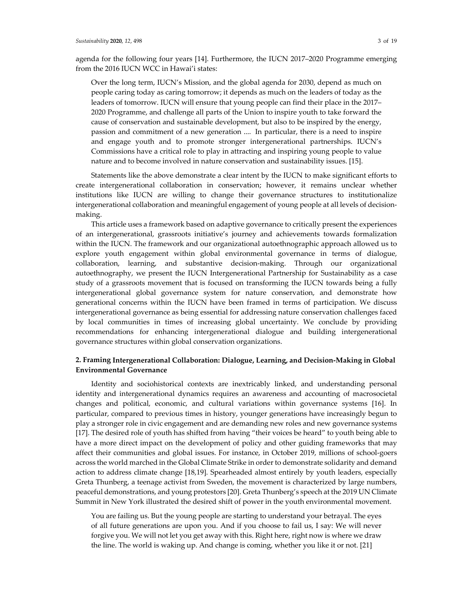agenda for the following four years [14]. Furthermore, the IUCN 2017–2020 Programme emerging from the 2016 IUCN WCC in Hawai'i states:

Over the long term, IUCN's Mission, and the global agenda for 2030, depend as much on people caring today as caring tomorrow; it depends as much on the leaders of today as the leaders of tomorrow. IUCN will ensure that young people can find their place in the 2017– 2020 Programme, and challenge all parts of the Union to inspire youth to take forward the cause of conservation and sustainable development, but also to be inspired by the energy, passion and commitment of a new generation .... In particular, there is a need to inspire and engage youth and to promote stronger intergenerational partnerships. IUCN's Commissions have a critical role to play in attracting and inspiring young people to value nature and to become involved in nature conservation and sustainability issues. [15].

Statements like the above demonstrate a clear intent by the IUCN to make significant efforts to create intergenerational collaboration in conservation; however, it remains unclear whether institutions like IUCN are willing to change their governance structures to institutionalize intergenerational collaboration and meaningful engagement of young people at all levels of decisionmaking.

This article uses a framework based on adaptive governance to critically present the experiences of an intergenerational, grassroots initiative's journey and achievements towards formalization within the IUCN. The framework and our organizational autoethnographic approach allowed us to explore youth engagement within global environmental governance in terms of dialogue, collaboration, learning, and substantive decision‐making. Through our organizational autoethnography, we present the IUCN Intergenerational Partnership for Sustainability as a case study of a grassroots movement that is focused on transforming the IUCN towards being a fully intergenerational global governance system for nature conservation, and demonstrate how generational concerns within the IUCN have been framed in terms of participation. We discuss intergenerational governance as being essential for addressing nature conservation challenges faced by local communities in times of increasing global uncertainty. We conclude by providing recommendations for enhancing intergenerational dialogue and building intergenerational governance structures within global conservation organizations.

## **2. Framing Intergenerational Collaboration: Dialogue, Learning, and Decision‐Making in Global Environmental Governance**

Identity and sociohistorical contexts are inextricably linked, and understanding personal identity and intergenerational dynamics requires an awareness and accounting of macrosocietal changes and political, economic, and cultural variations within governance systems [16]. In particular, compared to previous times in history, younger generations have increasingly begun to play a stronger role in civic engagement and are demanding new roles and new governance systems [17]. The desired role of youth has shifted from having "their voices be heard" to youth being able to have a more direct impact on the development of policy and other guiding frameworks that may affect their communities and global issues. For instance, in October 2019, millions of school‐goers across the world marched in the Global Climate Strike in order to demonstrate solidarity and demand action to address climate change [18,19]. Spearheaded almost entirely by youth leaders, especially Greta Thunberg, a teenage activist from Sweden, the movement is characterized by large numbers, peaceful demonstrations, and young protestors [20]. Greta Thunberg's speech at the 2019 UN Climate Summit in New York illustrated the desired shift of power in the youth environmental movement.

You are failing us. But the young people are starting to understand your betrayal. The eyes of all future generations are upon you. And if you choose to fail us, I say: We will never forgive you. We will not let you get away with this. Right here, right now is where we draw the line. The world is waking up. And change is coming, whether you like it or not. [21]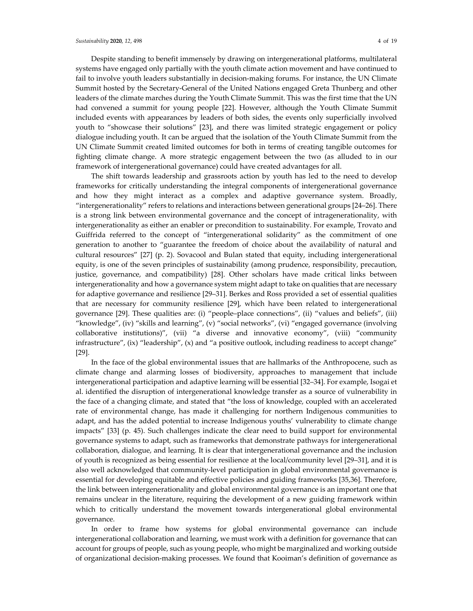Despite standing to benefit immensely by drawing on intergenerational platforms, multilateral systems have engaged only partially with the youth climate action movement and have continued to fail to involve youth leaders substantially in decision-making forums. For instance, the UN Climate Summit hosted by the Secretary‐General of the United Nations engaged Greta Thunberg and other leaders of the climate marches during the Youth Climate Summit. This was the first time that the UN had convened a summit for young people [22]. However, although the Youth Climate Summit included events with appearances by leaders of both sides, the events only superficially involved youth to "showcase their solutions" [23], and there was limited strategic engagement or policy dialogue including youth. It can be argued that the isolation of the Youth Climate Summit from the UN Climate Summit created limited outcomes for both in terms of creating tangible outcomes for fighting climate change. A more strategic engagement between the two (as alluded to in our framework of intergenerational governance) could have created advantages for all.

The shift towards leadership and grassroots action by youth has led to the need to develop frameworks for critically understanding the integral components of intergenerational governance and how they might interact as a complex and adaptive governance system. Broadly, "intergenerationality" refers to relations and interactions between generational groups [24–26]. There is a strong link between environmental governance and the concept of intragenerationality, with intergenerationality as either an enabler or precondition to sustainability. For example, Trovato and Guiffrida referred to the concept of "intergenerational solidarity" as the commitment of one generation to another to "guarantee the freedom of choice about the availability of natural and cultural resources" [27] (p. 2). Sovacool and Bulan stated that equity, including intergenerational equity, is one of the seven principles of sustainability (among prudence, responsibility, precaution, justice, governance, and compatibility) [28]. Other scholars have made critical links between intergenerationality and how a governance system might adapt to take on qualities that are necessary for adaptive governance and resilience [29–31]. Berkes and Ross provided a set of essential qualities that are necessary for community resilience [29], which have been related to intergenerational governance [29]. These qualities are: (i) "people–place connections", (ii) "values and beliefs", (iii) "knowledge", (iv) "skills and learning", (v) "social networks", (vi) "engaged governance (involving collaborative institutions)", (vii) "a diverse and innovative economy", (viii) "community infrastructure", (ix) "leadership", (x) and "a positive outlook, including readiness to accept change" [29].

In the face of the global environmental issues that are hallmarks of the Anthropocene, such as climate change and alarming losses of biodiversity, approaches to management that include intergenerational participation and adaptive learning will be essential [32–34]. For example, Isogai et al. identified the disruption of intergenerational knowledge transfer as a source of vulnerability in the face of a changing climate, and stated that "the loss of knowledge, coupled with an accelerated rate of environmental change, has made it challenging for northern Indigenous communities to adapt, and has the added potential to increase Indigenous youths' vulnerability to climate change impacts" [33] (p. 45). Such challenges indicate the clear need to build support for environmental governance systems to adapt, such as frameworks that demonstrate pathways for intergenerational collaboration, dialogue, and learning. It is clear that intergenerational governance and the inclusion of youth is recognized as being essential for resilience at the local/community level [29–31], and it is also well acknowledged that community‐level participation in global environmental governance is essential for developing equitable and effective policies and guiding frameworks [35,36]. Therefore, the link between intergenerationality and global environmental governance is an important one that remains unclear in the literature, requiring the development of a new guiding framework within which to critically understand the movement towards intergenerational global environmental governance.

In order to frame how systems for global environmental governance can include intergenerational collaboration and learning, we must work with a definition for governance that can account for groups of people, such as young people, who might be marginalized and working outside of organizational decision‐making processes. We found that Kooiman's definition of governance as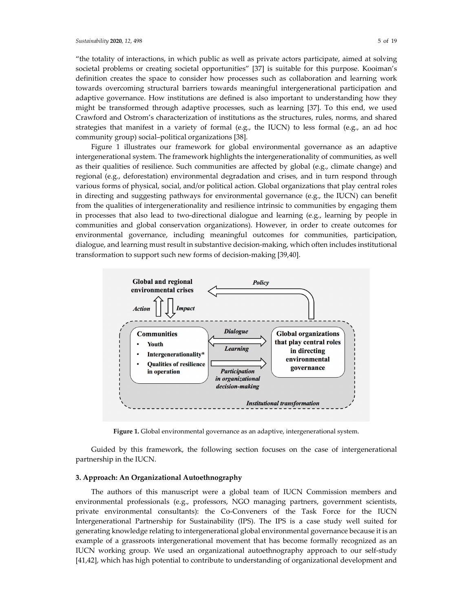"the totality of interactions, in which public as well as private actors participate, aimed at solving societal problems or creating societal opportunities" [37] is suitable for this purpose. Kooiman's definition creates the space to consider how processes such as collaboration and learning work towards overcoming structural barriers towards meaningful intergenerational participation and adaptive governance. How institutions are defined is also important to understanding how they might be transformed through adaptive processes, such as learning [37]. To this end, we used Crawford and Ostrom's characterization of institutions as the structures, rules, norms, and shared strategies that manifest in a variety of formal (e.g., the IUCN) to less formal (e.g., an ad hoc community group) social–political organizations [38].

Figure 1 illustrates our framework for global environmental governance as an adaptive intergenerational system. The framework highlights the intergenerationality of communities, as well as their qualities of resilience. Such communities are affected by global (e.g., climate change) and regional (e.g., deforestation) environmental degradation and crises, and in turn respond through various forms of physical, social, and/or political action. Global organizations that play central roles in directing and suggesting pathways for environmental governance (e.g., the IUCN) can benefit from the qualities of intergenerationality and resilience intrinsic to communities by engaging them in processes that also lead to two-directional dialogue and learning  $(e.g.,)$  learning by people in communities and global conservation organizations). However, in order to create outcomes for environmental governance, including meaningful outcomes for communities, participation, dialogue, and learning must result in substantive decision‐making, which often includes institutional transformation to support such new forms of decision‐making [39,40].



**Figure 1.** Global environmental governance as an adaptive, intergenerational system.

Guided by this framework, the following section focuses on the case of intergenerational partnership in the IUCN.

## **3. Approach: An Organizational Autoethnography**

The authors of this manuscript were a global team of IUCN Commission members and environmental professionals (e.g., professors, NGO managing partners, government scientists, private environmental consultants): the Co‐Conveners of the Task Force for the IUCN Intergenerational Partnership for Sustainability (IPS). The IPS is a case study well suited for generating knowledge relating to intergenerational global environmental governance because it is an example of a grassroots intergenerational movement that has become formally recognized as an IUCN working group. We used an organizational autoethnography approach to our self‐study [41,42], which has high potential to contribute to understanding of organizational development and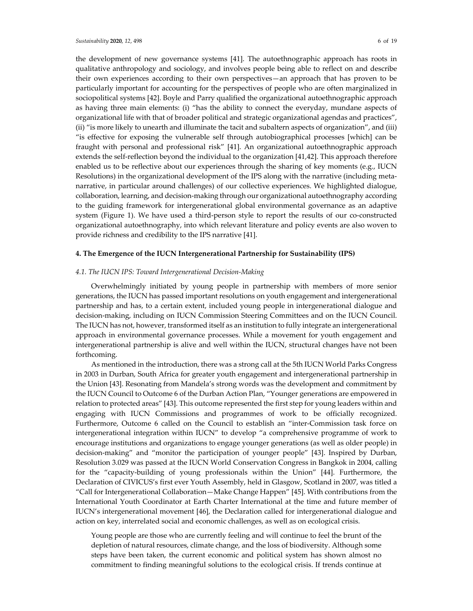the development of new governance systems [41]. The autoethnographic approach has roots in qualitative anthropology and sociology, and involves people being able to reflect on and describe their own experiences according to their own perspectives—an approach that has proven to be particularly important for accounting for the perspectives of people who are often marginalized in sociopolitical systems [42]. Boyle and Parry qualified the organizational autoethnographic approach as having three main elements: (i) "has the ability to connect the everyday, mundane aspects of organizational life with that of broader political and strategic organizational agendas and practices", (ii) "is more likely to unearth and illuminate the tacit and subaltern aspects of organization", and (iii) "is effective for exposing the vulnerable self through autobiographical processes [which] can be fraught with personal and professional risk" [41]. An organizational autoethnographic approach extends the self-reflection beyond the individual to the organization [41,42]. This approach therefore enabled us to be reflective about our experiences through the sharing of key moments (e.g., IUCN Resolutions) in the organizational development of the IPS along with the narrative (including meta‐ narrative, in particular around challenges) of our collective experiences. We highlighted dialogue, collaboration, learning, and decision‐making through our organizational autoethnography according to the guiding framework for intergenerational global environmental governance as an adaptive system (Figure 1). We have used a third-person style to report the results of our co-constructed organizational autoethnography, into which relevant literature and policy events are also woven to provide richness and credibility to the IPS narrative [41].

## **4. The Emergence of the IUCN Intergenerational Partnership for Sustainability (IPS)**

#### *4.1. The IUCN IPS: Toward Intergenerational Decision‐Making*

Overwhelmingly initiated by young people in partnership with members of more senior generations, the IUCN has passed important resolutions on youth engagement and intergenerational partnership and has, to a certain extent, included young people in intergenerational dialogue and decision‐making, including on IUCN Commission Steering Committees and on the IUCN Council. The IUCN has not, however, transformed itself as an institution to fully integrate an intergenerational approach in environmental governance processes. While a movement for youth engagement and intergenerational partnership is alive and well within the IUCN, structural changes have not been forthcoming.

As mentioned in the introduction, there was a strong call at the 5th IUCN World Parks Congress in 2003 in Durban, South Africa for greater youth engagement and intergenerational partnership in the Union [43]. Resonating from Mandela's strong words was the development and commitment by the IUCN Council to Outcome 6 of the Durban Action Plan, "Younger generations are empowered in relation to protected areas" [43]. This outcome represented the first step for young leaders within and engaging with IUCN Commissions and programmes of work to be officially recognized. Furthermore, Outcome 6 called on the Council to establish an "inter‐Commission task force on intergenerational integration within IUCN" to develop "a comprehensive programme of work to encourage institutions and organizations to engage younger generations (as well as older people) in decision-making" and "monitor the participation of younger people" [43]. Inspired by Durban, Resolution 3.029 was passed at the IUCN World Conservation Congress in Bangkok in 2004, calling for the "capacity-building of young professionals within the Union" [44]. Furthermore, the Declaration of CIVICUS's first ever Youth Assembly, held in Glasgow, Scotland in 2007, was titled a "Call for Intergenerational Collaboration—Make Change Happen" [45]. With contributions from the International Youth Coordinator at Earth Charter International at the time and future member of IUCN's intergenerational movement [46], the Declaration called for intergenerational dialogue and action on key, interrelated social and economic challenges, as well as on ecological crisis.

Young people are those who are currently feeling and will continue to feel the brunt of the depletion of natural resources, climate change, and the loss of biodiversity. Although some steps have been taken, the current economic and political system has shown almost no commitment to finding meaningful solutions to the ecological crisis. If trends continue at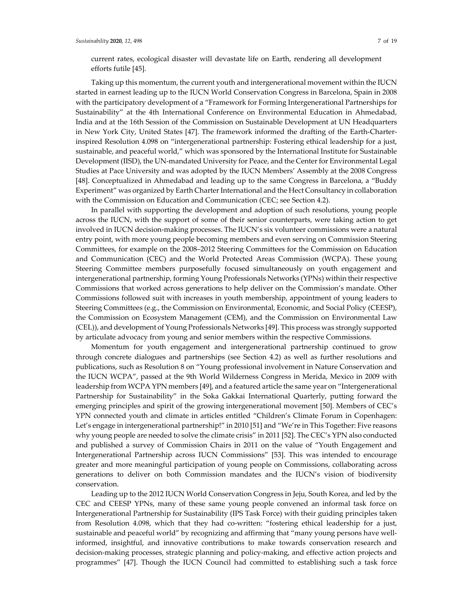current rates, ecological disaster will devastate life on Earth, rendering all development efforts futile [45].

Taking up this momentum, the current youth and intergenerational movement within the IUCN started in earnest leading up to the IUCN World Conservation Congress in Barcelona, Spain in 2008 with the participatory development of a "Framework for Forming Intergenerational Partnerships for Sustainability" at the 4th International Conference on Environmental Education in Ahmedabad, India and at the 16th Session of the Commission on Sustainable Development at UN Headquarters in New York City, United States [47]. The framework informed the drafting of the Earth‐Charter‐ inspired Resolution 4.098 on "intergenerational partnership: Fostering ethical leadership for a just, sustainable, and peaceful world," which was sponsored by the International Institute for Sustainable Development (IISD), the UN-mandated University for Peace, and the Center for Environmental Legal Studies at Pace University and was adopted by the IUCN Members' Assembly at the 2008 Congress [48]. Conceptualized in Ahmedabad and leading up to the same Congress in Barcelona, a "Buddy Experiment" was organized by Earth Charter International and the Hect Consultancy in collaboration with the Commission on Education and Communication (CEC; see Section 4.2).

In parallel with supporting the development and adoption of such resolutions, young people across the IUCN, with the support of some of their senior counterparts, were taking action to get involved in IUCN decision‐making processes. The IUCN's six volunteer commissions were a natural entry point, with more young people becoming members and even serving on Commission Steering Committees, for example on the 2008–2012 Steering Committees for the Commission on Education and Communication (CEC) and the World Protected Areas Commission (WCPA). These young Steering Committee members purposefully focused simultaneously on youth engagement and intergenerational partnership, forming Young Professionals Networks (YPNs) within their respective Commissions that worked across generations to help deliver on the Commission's mandate. Other Commissions followed suit with increases in youth membership, appointment of young leaders to Steering Committees (e.g., the Commission on Environmental, Economic, and Social Policy (CEESP), the Commission on Ecosystem Management (CEM), and the Commission on Environmental Law (CEL)), and development of Young Professionals Networks [49]. This process was strongly supported by articulate advocacy from young and senior members within the respective Commissions.

Momentum for youth engagement and intergenerational partnership continued to grow through concrete dialogues and partnerships (see Section 4.2) as well as further resolutions and publications, such as Resolution 8 on "Young professional involvement in Nature Conservation and the IUCN WCPA", passed at the 9th World Wilderness Congress in Merida, Mexico in 2009 with leadership from WCPA YPN members [49], and a featured article the same year on "Intergenerational Partnership for Sustainability" in the Soka Gakkai International Quarterly, putting forward the emerging principles and spirit of the growing intergenerational movement [50]. Members of CEC's YPN connected youth and climate in articles entitled "Children's Climate Forum in Copenhagen: Let's engage in intergenerational partnership!" in 2010 [51] and "We're in This Together: Five reasons why young people are needed to solve the climate crisis" in 2011 [52]. The CEC's YPN also conducted and published a survey of Commission Chairs in 2011 on the value of "Youth Engagement and Intergenerational Partnership across IUCN Commissions" [53]. This was intended to encourage greater and more meaningful participation of young people on Commissions, collaborating across generations to deliver on both Commission mandates and the IUCN's vision of biodiversity conservation.

Leading up to the 2012 IUCN World Conservation Congress in Jeju, South Korea, and led by the CEC and CEESP YPNs, many of these same young people convened an informal task force on Intergenerational Partnership for Sustainability (IPS Task Force) with their guiding principles taken from Resolution 4.098, which that they had co-written: "fostering ethical leadership for a just, sustainable and peaceful world" by recognizing and affirming that "many young persons have wellinformed, insightful, and innovative contributions to make towards conservation research and decision‐making processes, strategic planning and policy‐making, and effective action projects and programmes" [47]. Though the IUCN Council had committed to establishing such a task force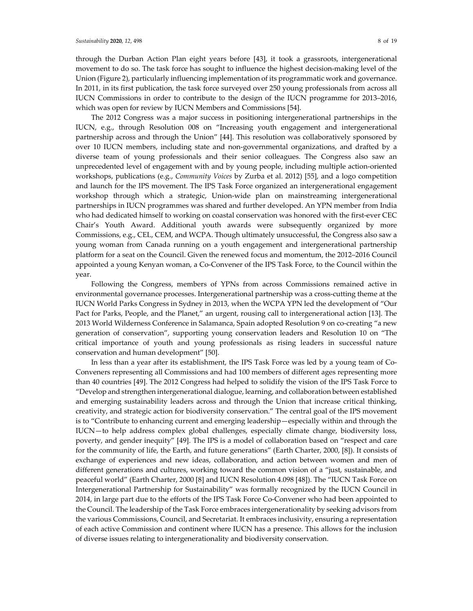through the Durban Action Plan eight years before [43], it took a grassroots, intergenerational movement to do so. The task force has sought to influence the highest decision‐making level of the Union (Figure 2), particularly influencing implementation of its programmatic work and governance. In 2011, in its first publication, the task force surveyed over 250 young professionals from across all IUCN Commissions in order to contribute to the design of the IUCN programme for 2013–2016, which was open for review by IUCN Members and Commissions [54].

The 2012 Congress was a major success in positioning intergenerational partnerships in the IUCN, e.g., through Resolution 008 on "Increasing youth engagement and intergenerational partnership across and through the Union" [44]. This resolution was collaboratively sponsored by over 10 IUCN members, including state and non‐governmental organizations, and drafted by a diverse team of young professionals and their senior colleagues. The Congress also saw an unprecedented level of engagement with and by young people, including multiple action‐oriented workshops, publications (e.g., *Community Voices* by Zurba et al. 2012) [55], and a logo competition and launch for the IPS movement. The IPS Task Force organized an intergenerational engagement workshop through which a strategic, Union‐wide plan on mainstreaming intergenerational partnerships in IUCN programmes was shared and further developed. An YPN member from India who had dedicated himself to working on coastal conservation was honored with the first-ever CEC Chair's Youth Award. Additional youth awards were subsequently organized by more Commissions, e.g., CEL, CEM, and WCPA. Though ultimately unsuccessful, the Congress also saw a young woman from Canada running on a youth engagement and intergenerational partnership platform for a seat on the Council. Given the renewed focus and momentum, the 2012–2016 Council appointed a young Kenyan woman, a Co‐Convener of the IPS Task Force, to the Council within the year.

Following the Congress, members of YPNs from across Commissions remained active in environmental governance processes. Intergenerational partnership was a cross-cutting theme at the IUCN World Parks Congress in Sydney in 2013, when the WCPA YPN led the development of "Our Pact for Parks, People, and the Planet," an urgent, rousing call to intergenerational action [13]. The 2013 World Wilderness Conference in Salamanca, Spain adopted Resolution 9 on co‐creating "a new generation of conservation", supporting young conservation leaders and Resolution 10 on "The critical importance of youth and young professionals as rising leaders in successful nature conservation and human development" [50].

In less than a year after its establishment, the IPS Task Force was led by a young team of Co‐ Conveners representing all Commissions and had 100 members of different ages representing more than 40 countries [49]. The 2012 Congress had helped to solidify the vision of the IPS Task Force to "Develop and strengthen intergenerational dialogue, learning, and collaboration between established and emerging sustainability leaders across and through the Union that increase critical thinking, creativity, and strategic action for biodiversity conservation." The central goal of the IPS movement is to "Contribute to enhancing current and emerging leadership—especially within and through the IUCN—to help address complex global challenges, especially climate change, biodiversity loss, poverty, and gender inequity" [49]. The IPS is a model of collaboration based on "respect and care for the community of life, the Earth, and future generations" (Earth Charter, 2000, [8]). It consists of exchange of experiences and new ideas, collaboration, and action between women and men of different generations and cultures, working toward the common vision of a "just, sustainable, and peaceful world" (Earth Charter, 2000 [8] and IUCN Resolution 4.098 [48]). The "IUCN Task Force on Intergenerational Partnership for Sustainability" was formally recognized by the IUCN Council in 2014, in large part due to the efforts of the IPS Task Force Co‐Convener who had been appointed to the Council. The leadership of the Task Force embraces intergenerationality by seeking advisors from the various Commissions, Council, and Secretariat. It embraces inclusivity, ensuring a representation of each active Commission and continent where IUCN has a presence. This allows for the inclusion of diverse issues relating to intergenerationality and biodiversity conservation.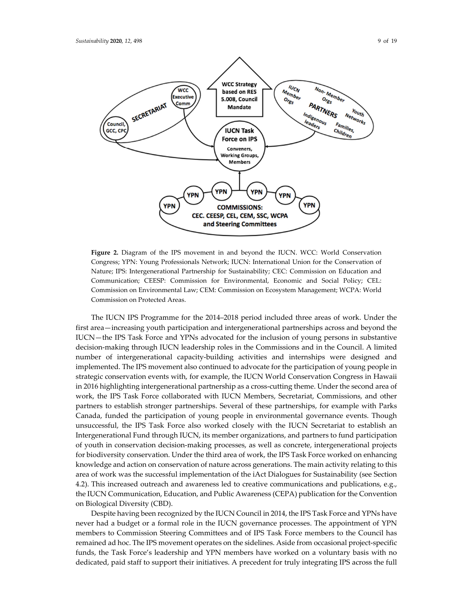



**Figure 2.** Diagram of the IPS movement in and beyond the IUCN. WCC: World Conservation Congress; YPN: Young Professionals Network; IUCN: International Union for the Conservation of Nature; IPS: Intergenerational Partnership for Sustainability; CEC: Commission on Education and Communication; CEESP: Commission for Environmental, Economic and Social Policy; CEL: Commission on Environmental Law; CEM: Commission on Ecosystem Management; WCPA: World Commission on Protected Areas.

The IUCN IPS Programme for the 2014–2018 period included three areas of work. Under the first area—increasing youth participation and intergenerational partnerships across and beyond the IUCN—the IPS Task Force and YPNs advocated for the inclusion of young persons in substantive decision‐making through IUCN leadership roles in the Commissions and in the Council. A limited number of intergenerational capacity‐building activities and internships were designed and implemented. The IPS movement also continued to advocate for the participation of young people in strategic conservation events with, for example, the IUCN World Conservation Congress in Hawaii in 2016 highlighting intergenerational partnership as a cross-cutting theme. Under the second area of work, the IPS Task Force collaborated with IUCN Members, Secretariat, Commissions, and other partners to establish stronger partnerships. Several of these partnerships, for example with Parks Canada, funded the participation of young people in environmental governance events. Though unsuccessful, the IPS Task Force also worked closely with the IUCN Secretariat to establish an Intergenerational Fund through IUCN, its member organizations, and partners to fund participation of youth in conservation decision‐making processes, as well as concrete, intergenerational projects for biodiversity conservation. Under the third area of work, the IPS Task Force worked on enhancing knowledge and action on conservation of nature across generations. The main activity relating to this area of work was the successful implementation of the iAct Dialogues for Sustainability (see Section 4.2). This increased outreach and awareness led to creative communications and publications, e.g., the IUCN Communication, Education, and Public Awareness (CEPA) publication for the Convention on Biological Diversity (CBD).

Despite having been recognized by the IUCN Council in 2014, the IPS Task Force and YPNs have never had a budget or a formal role in the IUCN governance processes. The appointment of YPN members to Commission Steering Committees and of IPS Task Force members to the Council has remained ad hoc. The IPS movement operates on the sidelines. Aside from occasional project‐specific funds, the Task Force's leadership and YPN members have worked on a voluntary basis with no dedicated, paid staff to support their initiatives. A precedent for truly integrating IPS across the full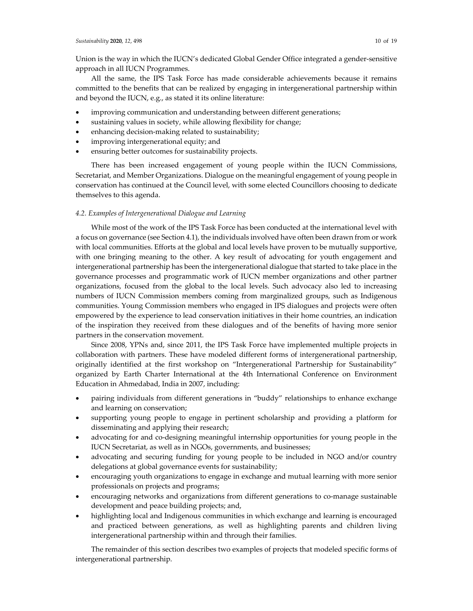Union is the way in which the IUCN's dedicated Global Gender Office integrated a gender‐sensitive approach in all IUCN Programmes.

All the same, the IPS Task Force has made considerable achievements because it remains committed to the benefits that can be realized by engaging in intergenerational partnership within and beyond the IUCN, e.g., as stated it its online literature:

- improving communication and understanding between different generations;
- sustaining values in society, while allowing flexibility for change;
- enhancing decision‐making related to sustainability;
- improving intergenerational equity; and
- ensuring better outcomes for sustainability projects.

There has been increased engagement of young people within the IUCN Commissions, Secretariat, and Member Organizations. Dialogue on the meaningful engagement of young people in conservation has continued at the Council level, with some elected Councillors choosing to dedicate themselves to this agenda.

## *4.2. Examples of Intergenerational Dialogue and Learning*

While most of the work of the IPS Task Force has been conducted at the international level with a focus on governance (see Section 4.1), the individuals involved have often been drawn from or work with local communities. Efforts at the global and local levels have proven to be mutually supportive, with one bringing meaning to the other. A key result of advocating for youth engagement and intergenerational partnership has been the intergenerational dialogue that started to take place in the governance processes and programmatic work of IUCN member organizations and other partner organizations, focused from the global to the local levels. Such advocacy also led to increasing numbers of IUCN Commission members coming from marginalized groups, such as Indigenous communities. Young Commission members who engaged in IPS dialogues and projects were often empowered by the experience to lead conservation initiatives in their home countries, an indication of the inspiration they received from these dialogues and of the benefits of having more senior partners in the conservation movement.

Since 2008, YPNs and, since 2011, the IPS Task Force have implemented multiple projects in collaboration with partners. These have modeled different forms of intergenerational partnership, originally identified at the first workshop on "Intergenerational Partnership for Sustainability" organized by Earth Charter International at the 4th International Conference on Environment Education in Ahmedabad, India in 2007, including:

- pairing individuals from different generations in "buddy" relationships to enhance exchange and learning on conservation;
- supporting young people to engage in pertinent scholarship and providing a platform for disseminating and applying their research;
- advocating for and co‐designing meaningful internship opportunities for young people in the IUCN Secretariat, as well as in NGOs, governments, and businesses;
- advocating and securing funding for young people to be included in NGO and/or country delegations at global governance events for sustainability;
- encouraging youth organizations to engage in exchange and mutual learning with more senior professionals on projects and programs;
- encouraging networks and organizations from different generations to co-manage sustainable development and peace building projects; and,
- highlighting local and Indigenous communities in which exchange and learning is encouraged and practiced between generations, as well as highlighting parents and children living intergenerational partnership within and through their families.

The remainder of this section describes two examples of projects that modeled specific forms of intergenerational partnership.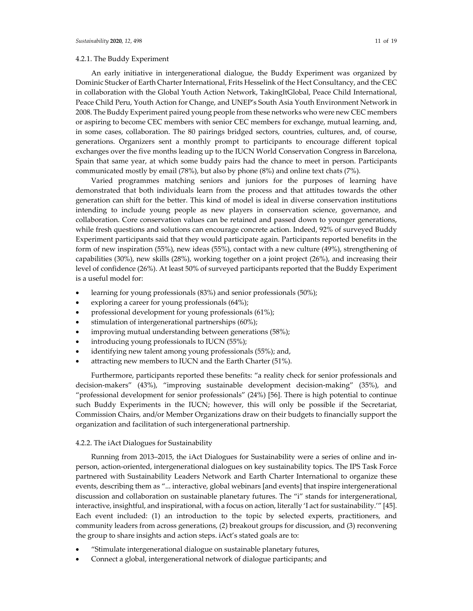## 4.2.1. The Buddy Experiment

An early initiative in intergenerational dialogue, the Buddy Experiment was organized by Dominic Stucker of Earth Charter International, Frits Hesselink of the Hect Consultancy, and the CEC in collaboration with the Global Youth Action Network, TakingItGlobal, Peace Child International, Peace Child Peru, Youth Action for Change, and UNEPʹs South Asia Youth Environment Network in 2008. The Buddy Experiment paired young people from these networks who were new CEC members or aspiring to become CEC members with senior CEC members for exchange, mutual learning, and, in some cases, collaboration. The 80 pairings bridged sectors, countries, cultures, and, of course, generations. Organizers sent a monthly prompt to participants to encourage different topical exchanges over the five months leading up to the IUCN World Conservation Congress in Barcelona, Spain that same year, at which some buddy pairs had the chance to meet in person. Participants communicated mostly by email (78%), but also by phone (8%) and online text chats (7%).

Varied programmes matching seniors and juniors for the purposes of learning have demonstrated that both individuals learn from the process and that attitudes towards the other generation can shift for the better. This kind of model is ideal in diverse conservation institutions intending to include young people as new players in conservation science, governance, and collaboration. Core conservation values can be retained and passed down to younger generations, while fresh questions and solutions can encourage concrete action. Indeed, 92% of surveyed Buddy Experiment participants said that they would participate again. Participants reported benefits in the form of new inspiration (55%), new ideas (55%), contact with a new culture (49%), strengthening of capabilities (30%), new skills (28%), working together on a joint project (26%), and increasing their level of confidence (26%). At least 50% of surveyed participants reported that the Buddy Experiment is a useful model for:

- learning for young professionals (83%) and senior professionals (50%);
- exploring a career for young professionals (64%);
- professional development for young professionals (61%);
- stimulation of intergenerational partnerships (60%);
- improving mutual understanding between generations (58%);
- introducing young professionals to IUCN (55%);
- identifying new talent among young professionals (55%); and,
- attracting new members to IUCN and the Earth Charter (51%).

Furthermore, participants reported these benefits: "a reality check for senior professionals and decision‐makers" (43%), "improving sustainable development decision‐making" (35%), and "professional development for senior professionals" (24%) [56]. There is high potential to continue such Buddy Experiments in the IUCN; however, this will only be possible if the Secretariat, Commission Chairs, and/or Member Organizations draw on their budgets to financially support the organization and facilitation of such intergenerational partnership.

## 4.2.2. The iAct Dialogues for Sustainability

Running from 2013–2015, the iAct Dialogues for Sustainability were a series of online and in‐ person, action‐oriented, intergenerational dialogues on key sustainability topics. The IPS Task Force partnered with Sustainability Leaders Network and Earth Charter International to organize these events, describing them as "... interactive, global webinars [and events] that inspire intergenerational discussion and collaboration on sustainable planetary futures. The "i" stands for intergenerational, interactive, insightful, and inspirational, with a focus on action, literally 'I act for sustainability.'" [45]. Each event included: (1) an introduction to the topic by selected experts, practitioners, and community leaders from across generations, (2) breakout groups for discussion, and (3) reconvening the group to share insights and action steps. iAct's stated goals are to:

- "Stimulate intergenerational dialogue on sustainable planetary futures,
- Connect a global, intergenerational network of dialogue participants; and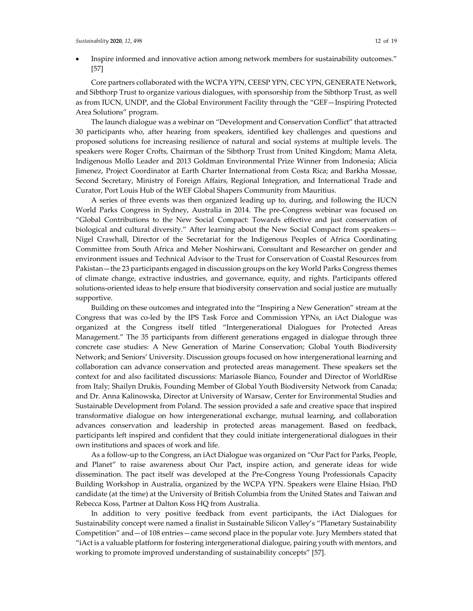Inspire informed and innovative action among network members for sustainability outcomes." [57]

Core partners collaborated with the WCPA YPN, CEESP YPN, CEC YPN, GENERATE Network, and Sibthorp Trust to organize various dialogues, with sponsorship from the Sibthorp Trust, as well as from IUCN, UNDP, and the Global Environment Facility through the "GEF—Inspiring Protected Area Solutions" program.

The launch dialogue was a webinar on "Development and Conservation Conflict" that attracted 30 participants who, after hearing from speakers, identified key challenges and questions and proposed solutions for increasing resilience of natural and social systems at multiple levels. The speakers were Roger Crofts, Chairman of the Sibthorp Trust from United Kingdom; Mama Aleta, Indigenous Mollo Leader and 2013 Goldman Environmental Prize Winner from Indonesia; Alicia Jimenez, Project Coordinator at Earth Charter International from Costa Rica; and Barkha Mossae, Second Secretary, Ministry of Foreign Affairs, Regional Integration, and International Trade and Curator, Port Louis Hub of the WEF Global Shapers Community from Mauritius.

A series of three events was then organized leading up to, during, and following the IUCN World Parks Congress in Sydney, Australia in 2014. The pre‐Congress webinar was focused on "Global Contributions to the New Social Compact: Towards effective and just conservation of biological and cultural diversity." After learning about the New Social Compact from speakers— Nigel Crawhall, Director of the Secretariat for the Indigenous Peoples of Africa Coordinating Committee from South Africa and Meher Noshirwani, Consultant and Researcher on gender and environment issues and Technical Advisor to the Trust for Conservation of Coastal Resources from Pakistan—the 23 participants engaged in discussion groups on the key World Parks Congress themes of climate change, extractive industries, and governance, equity, and rights. Participants offered solutions‐oriented ideas to help ensure that biodiversity conservation and social justice are mutually supportive.

Building on these outcomes and integrated into the "Inspiring a New Generation" stream at the Congress that was co-led by the IPS Task Force and Commission YPNs, an iAct Dialogue was organized at the Congress itself titled "Intergenerational Dialogues for Protected Areas Management." The 35 participants from different generations engaged in dialogue through three concrete case studies: A New Generation of Marine Conservation; Global Youth Biodiversity Network; and Seniors' University. Discussion groups focused on how intergenerational learning and collaboration can advance conservation and protected areas management. These speakers set the context for and also facilitated discussions: Mariasole Bianco, Founder and Director of WorldRise from Italy; Shailyn Drukis, Founding Member of Global Youth Biodiversity Network from Canada; and Dr. Anna Kalinowska, Director at University of Warsaw, Center for Environmental Studies and Sustainable Development from Poland. The session provided a safe and creative space that inspired transformative dialogue on how intergenerational exchange, mutual learning, and collaboration advances conservation and leadership in protected areas management. Based on feedback, participants left inspired and confident that they could initiate intergenerational dialogues in their own institutions and spaces of work and life.

As a follow‐up to the Congress, an iAct Dialogue was organized on "Our Pact for Parks, People, and Planet" to raise awareness about Our Pact, inspire action, and generate ideas for wide dissemination. The pact itself was developed at the Pre‐Congress Young Professionals Capacity Building Workshop in Australia, organized by the WCPA YPN. Speakers were Elaine Hsiao, PhD candidate (at the time) at the University of British Columbia from the United States and Taiwan and Rebecca Koss, Partner at Dalton Koss HQ from Australia.

In addition to very positive feedback from event participants, the iAct Dialogues for Sustainability concept were named a finalist in Sustainable Silicon Valley's "Planetary Sustainability Competition" and—of 108 entries—came second place in the popular vote. Jury Members stated that "iAct is a valuable platform for fostering intergenerational dialogue, pairing youth with mentors, and working to promote improved understanding of sustainability concepts" [57].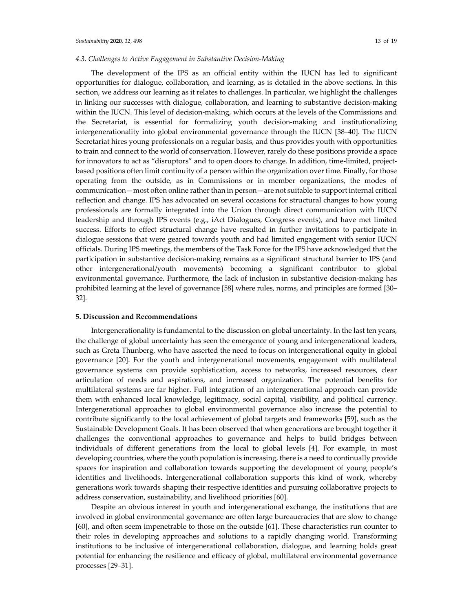## *4.3. Challenges to Active Engagement in Substantive Decision‐Making*

The development of the IPS as an official entity within the IUCN has led to significant opportunities for dialogue, collaboration, and learning, as is detailed in the above sections. In this section, we address our learning as it relates to challenges. In particular, we highlight the challenges in linking our successes with dialogue, collaboration, and learning to substantive decision‐making within the IUCN. This level of decision-making, which occurs at the levels of the Commissions and the Secretariat, is essential for formalizing youth decision‐making and institutionalizing intergenerationality into global environmental governance through the IUCN [38–40]. The IUCN Secretariat hires young professionals on a regular basis, and thus provides youth with opportunities to train and connect to the world of conservation. However, rarely do these positions provide a space for innovators to act as "disruptors" and to open doors to change. In addition, time-limited, projectbased positions often limit continuity of a person within the organization over time. Finally, for those operating from the outside, as in Commissions or in member organizations, the modes of communication—most often online rather than in person—are not suitable to support internal critical reflection and change. IPS has advocated on several occasions for structural changes to how young professionals are formally integrated into the Union through direct communication with IUCN leadership and through IPS events (e.g., iAct Dialogues, Congress events), and have met limited success. Efforts to effect structural change have resulted in further invitations to participate in dialogue sessions that were geared towards youth and had limited engagement with senior IUCN officials. During IPS meetings, the members of the Task Force for the IPS have acknowledged that the participation in substantive decision-making remains as a significant structural barrier to IPS (and other intergenerational/youth movements) becoming a significant contributor to global environmental governance. Furthermore, the lack of inclusion in substantive decision-making has prohibited learning at the level of governance [58] where rules, norms, and principles are formed [30– 32].

## **5. Discussion and Recommendations**

Intergenerationality is fundamental to the discussion on global uncertainty. In the last ten years, the challenge of global uncertainty has seen the emergence of young and intergenerational leaders, such as Greta Thunberg, who have asserted the need to focus on intergenerational equity in global governance [20]. For the youth and intergenerational movements, engagement with multilateral governance systems can provide sophistication, access to networks, increased resources, clear articulation of needs and aspirations, and increased organization. The potential benefits for multilateral systems are far higher. Full integration of an intergenerational approach can provide them with enhanced local knowledge, legitimacy, social capital, visibility, and political currency. Intergenerational approaches to global environmental governance also increase the potential to contribute significantly to the local achievement of global targets and frameworks [59], such as the Sustainable Development Goals. It has been observed that when generations are brought together it challenges the conventional approaches to governance and helps to build bridges between individuals of different generations from the local to global levels [4]. For example, in most developing countries, where the youth population is increasing, there is a need to continually provide spaces for inspiration and collaboration towards supporting the development of young people's identities and livelihoods. Intergenerational collaboration supports this kind of work, whereby generations work towards shaping their respective identities and pursuing collaborative projects to address conservation, sustainability, and livelihood priorities [60].

Despite an obvious interest in youth and intergenerational exchange, the institutions that are involved in global environmental governance are often large bureaucracies that are slow to change [60], and often seem impenetrable to those on the outside [61]. These characteristics run counter to their roles in developing approaches and solutions to a rapidly changing world. Transforming institutions to be inclusive of intergenerational collaboration, dialogue, and learning holds great potential for enhancing the resilience and efficacy of global, multilateral environmental governance processes [29–31].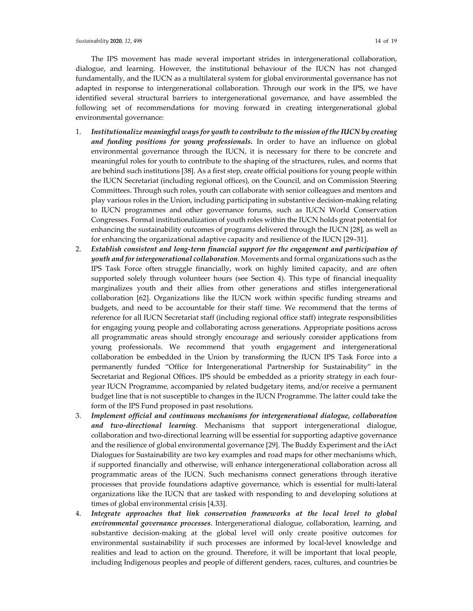*Sustainability* **2020**, 12, 498 14 of 19

The IPS movement has made several important strides in intergenerational collaboration, dialogue, and learning. However, the institutional behaviour of the IUCN has not changed fundamentally, and the IUCN as a multilateral system for global environmental governance has not adapted in response to intergenerational collaboration. Through our work in the IPS, we have identified several structural barriers to intergenerational governance, and have assembled the following set of recommendations for moving forward in creating intergenerational global environmental governance:

- 1. *Institutionalize meaningful ways for youth to contribute to the mission ofthe IUCN by creating and funding positions for young professionals.* In order to have an influence on global environmental governance through the IUCN, it is necessary for there to be concrete and meaningful roles for youth to contribute to the shaping of the structures, rules, and norms that are behind such institutions [38]. As a first step, create official positions for young people within the IUCN Secretariat (including regional offices), on the Council, and on Commission Steering Committees. Through such roles, youth can collaborate with senior colleagues and mentors and play various roles in the Union, including participating in substantive decision‐making relating to IUCN programmes and other governance forums, such as IUCN World Conservation Congresses. Formal institutionalization of youth roles within the IUCN holds great potential for enhancing the sustainability outcomes of programs delivered through the IUCN [28], as well as for enhancing the organizational adaptive capacity and resilience of the IUCN [29–31].
- 2. *Establish consistent and long‐term financial support for the engagement and participation of youth and for intergenerational collaboration*. Movements and formal organizations such as the IPS Task Force often struggle financially, work on highly limited capacity, and are often supported solely through volunteer hours (see Section 4). This type of financial inequality marginalizes youth and their allies from other generations and stifles intergenerational collaboration [62]. Organizations like the IUCN work within specific funding streams and budgets, and need to be accountable for their staff time. We recommend that the terms of reference for all IUCN Secretariat staff (including regional office staff) integrate responsibilities for engaging young people and collaborating across generations. Appropriate positions across all programmatic areas should strongly encourage and seriously consider applications from young professionals. We recommend that youth engagement and intergenerational collaboration be embedded in the Union by transforming the IUCN IPS Task Force into a permanently funded "Office for Intergenerational Partnership for Sustainability" in the Secretariat and Regional Offices. IPS should be embedded as a priority strategy in each four‐ year IUCN Programme, accompanied by related budgetary items, and/or receive a permanent budget line that is not susceptible to changes in the IUCN Programme. The latter could take the form of the IPS Fund proposed in past resolutions.
- 3. *Implement official and continuous mechanisms for intergenerational dialogue, collaboration and two‐directional learning*. Mechanisms that support intergenerational dialogue, collaboration and two‐directional learning will be essential for supporting adaptive governance and the resilience of global environmental governance [29]. The Buddy Experiment and the iAct Dialogues for Sustainability are two key examples and road maps for other mechanisms which, if supported financially and otherwise, will enhance intergenerational collaboration across all programmatic areas of the IUCN. Such mechanisms connect generations through iterative processes that provide foundations adaptive governance, which is essential for multi‐lateral organizations like the IUCN that are tasked with responding to and developing solutions at times of global environmental crisis [4,33].
- 4. *Integrate approaches that link conservation frameworks at the local level to global environmental governance processes*. Intergenerational dialogue, collaboration, learning, and substantive decision‐making at the global level will only create positive outcomes for environmental sustainability if such processes are informed by local-level knowledge and realities and lead to action on the ground. Therefore, it will be important that local people, including Indigenous peoples and people of different genders, races, cultures, and countries be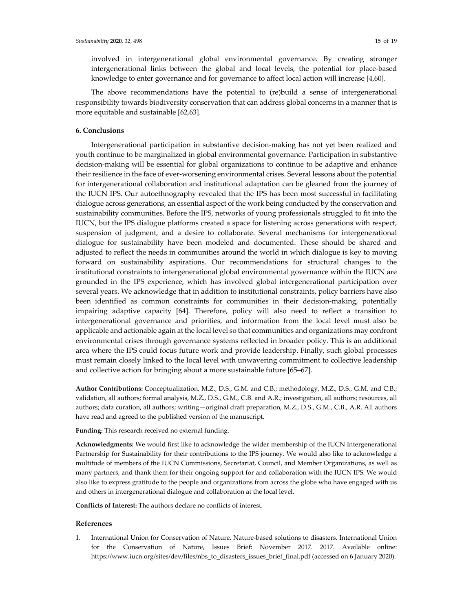involved in intergenerational global environmental governance. By creating stronger intergenerational links between the global and local levels, the potential for place‐based knowledge to enter governance and for governance to affect local action will increase [4,60].

The above recommendations have the potential to (re)build a sense of intergenerational responsibility towards biodiversity conservation that can address global concerns in a manner that is more equitable and sustainable [62,63].

## **6. Conclusions**

Intergenerational participation in substantive decision‐making has not yet been realized and youth continue to be marginalized in global environmental governance. Participation in substantive decision‐making will be essential for global organizations to continue to be adaptive and enhance their resilience in the face of ever-worsening environmental crises. Several lessons about the potential for intergenerational collaboration and institutional adaptation can be gleaned from the journey of the IUCN IPS. Our autoethnography revealed that the IPS has been most successful in facilitating dialogue across generations, an essential aspect of the work being conducted by the conservation and sustainability communities. Before the IPS, networks of young professionals struggled to fit into the IUCN, but the IPS dialogue platforms created a space for listening across generations with respect, suspension of judgment, and a desire to collaborate. Several mechanisms for intergenerational dialogue for sustainability have been modeled and documented. These should be shared and adjusted to reflect the needs in communities around the world in which dialogue is key to moving forward on sustainability aspirations. Our recommendations for structural changes to the institutional constraints to intergenerational global environmental governance within the IUCN are grounded in the IPS experience, which has involved global intergenerational participation over several years. We acknowledge that in addition to institutional constraints, policy barriers have also been identified as common constraints for communities in their decision-making, potentially impairing adaptive capacity [64]. Therefore, policy will also need to reflect a transition to intergenerational governance and priorities, and information from the local level must also be applicable and actionable again at the local level so that communities and organizations may confront environmental crises through governance systems reflected in broader policy. This is an additional area where the IPS could focus future work and provide leadership. Finally, such global processes must remain closely linked to the local level with unwavering commitment to collective leadership and collective action for bringing about a more sustainable future [65–67].

**Author Contributions:** Conceptualization, M.Z., D.S., G.M. and C.B.; methodology, M.Z., D.S., G.M. and C.B.; validation, all authors; formal analysis, M.Z., D.S., G.M., C.B. and A.R.; investigation, all authors; resources, all authors; data curation, all authors; writing—original draft preparation, M.Z., D.S., G.M., C.B., A.R. All authors have read and agreed to the published version of the manuscript.

**Funding:** This research received no external funding.

**Acknowledgments:** We would first like to acknowledge the wider membership of the IUCN Intergenerational Partnership for Sustainability for their contributions to the IPS journey. We would also like to acknowledge a multitude of members of the IUCN Commissions, Secretariat, Council, and Member Organizations, as well as many partners, and thank them for their ongoing support for and collaboration with the IUCN IPS. We would also like to express gratitude to the people and organizations from across the globe who have engaged with us and others in intergenerational dialogue and collaboration at the local level.

**Conflicts of Interest:** The authors declare no conflicts of interest.

## **References**

1. International Union for Conservation of Nature. Nature‐based solutions to disasters. International Union for the Conservation of Nature, Issues Brief: November 2017. 2017. Available online: https://www.iucn.org/sites/dev/files/nbs\_to\_disasters\_issues\_brief\_final.pdf (accessed on 6 January 2020).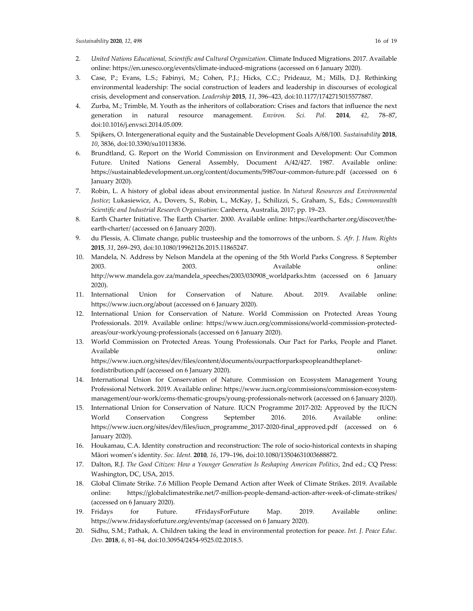- 2. *United Nations Educational, Scientific and Cultural Organization*. Climate Induced Migrations. 2017. Available online: https://en.unesco.org/events/climate‐induced‐migrations (accessed on 6 January 2020).
- 3. Case, P.; Evans, L.S.; Fabinyi, M.; Cohen, P.J.; Hicks, C.C.; Prideauz, M.; Mills, D.J. Rethinking environmental leadership: The social construction of leaders and leadership in discourses of ecological crisis, development and conservation. *Leadership* **2015**, *11*, 396–423, doi:10.1177/1742715015577887.
- 4. Zurba, M.; Trimble, M. Youth as the inheritors of collaboration: Crises and factors that influence the next generation in natural resource management. *Environ. Sci. Pol.* **2014**, *42*, 78–87, doi:10.1016/j.envsci.2014.05.009.
- 5. Spijkers, O. Intergenerational equity and the Sustainable Development Goals A/68/100. *Sustainability* **2018**, *10*, 3836, doi:10.3390/su10113836.
- 6. Brundtland, G. Report on the World Commission on Environment and Development: Our Common Future. United Nations General Assembly, Document A/42/427. 1987. Available online: https://sustainabledevelopment.un.org/content/documents/5987our‐common‐future.pdf (accessed on 6 January 2020).
- 7. Robin, L. A history of global ideas about environmental justice. In *Natural Resources and Environmental Justice*; Lukasiewicz, A., Dovers, S., Robin, L., McKay, J., Schilizzi, S., Graham, S., Eds.; *Commonwealth Scientific and Industrial Research Organisation*: Canberra, Australia, 2017; pp. 19–23.
- 8. Earth Charter Initiative. The Earth Charter. 2000. Available online: https://earthcharter.org/discover/the‐ earth-charter/ (accessed on 6 January 2020).
- 9. du Plessis, A. Climate change, public trusteeship and the tomorrows of the unborn. *S. Afr. J. Hum. Rights* **2015**, *31*, 269–293, doi:10.1080/19962126.2015.11865247.
- 10. Mandela, N. Address by Nelson Mandela at the opening of the 5th World Parks Congress. 8 September 2003. 2003. Available online: http://www.mandela.gov.za/mandela\_speeches/2003/030908\_worldparks.htm (accessed on 6 January 2020).
- 11. International Union for Conservation of Nature*.* About. 2019. Available online: https://www.iucn.org/about (accessed on 6 January 2020).
- 12. International Union for Conservation of Nature*.* World Commission on Protected Areas Young Professionals. 2019. Available online: https://www.iucn.org/commissions/world‐commission‐protected‐ areas/our‐work/young‐professionals (accessed on 6 January 2020).
- 13. World Commission on Protected Areas*.* Young Professionals. Our Pact for Parks, People and Planet. Available **online:** the contract of the contract of the contract of the contract of the contract of the contract of the contract of the contract of the contract of the contract of the contract of the contract of the contra https://www.iucn.org/sites/dev/files/content/documents/ourpactforparkspeopleandtheplanet‐

fordistribution.pdf (accessed on 6 January 2020).

- 14. International Union for Conservation of Nature*.* Commission on Ecosystem Management Young Professional Network. 2019. Available online: https://www.iucn.org/commissions/commission‐ecosystem‐ management/our‐work/cems‐thematic‐groups/young‐professionals‐network (accessed on 6 January 2020).
- 15. International Union for Conservation of Nature*.* IUCN Programme 2017‐202: Approved by the IUCN World Conservation Congress September 2016. 2016. Available online: https://www.iucn.org/sites/dev/files/iucn\_programme\_2017‐2020‐final\_approved.pdf (accessed on 6 January 2020).
- 16. Houkamau, C.A. Identity construction and reconstruction: The role of socio-historical contexts in shaping Māori women's identity. *Soc. Ident.* **2010***, 16*, 179–196, doi:10.1080/13504631003688872.
- 17. Dalton, R.J. *The Good Citizen: How a Younger Generation Is Reshaping American Politics*, 2nd ed.; CQ Press: Washington, DC, USA, 2015.
- 18. Global Climate Strike. 7.6 Million People Demand Action after Week of Climate Strikes. 2019. Available online: https://globalclimatestrike.net/7‐million‐people‐demand‐action‐after‐week‐of‐climate‐strikes/ (accessed on 6 January 2020).
- 19. Fridays for Future. #FridaysForFuture Map. 2019. Available online: https://www.fridaysforfuture.org/events/map (accessed on 6 January 2020).
- 20. Sidhu, S.M.; Pathak, A. Children taking the lead in environmental protection for peace. *Int. J. Peace Educ. Dev.* **2018**, *6*, 81–84, doi:10.30954/2454‐9525.02.2018.5.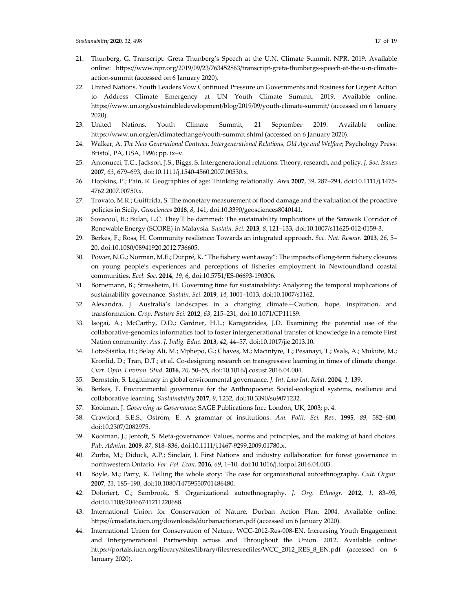- 21. Thunberg, G. Transcript: Greta Thunberg's Speech at the U.N. Climate Summit. NPR. 2019. Available online: https://www.npr.org/2019/09/23/763452863/transcript‐greta‐thunbergs‐speech‐at‐the‐u‐n‐climate‐ action‐summit (accessed on 6 January 2020).
- 22. United Nations. Youth Leaders Vow Continued Pressure on Governments and Business for Urgent Action to Address Climate Emergency at UN Youth Climate Summit. 2019. Available online: https://www.un.org/sustainabledevelopment/blog/2019/09/youth‐climate‐summit/ (accessed on 6 January 2020).
- 23. United Nations. Youth Climate Summit, 21 September 2019. Available online: https://www.un.org/en/climatechange/youth‐summit.shtml (accessed on 6 January 2020).
- 24. Walker, A. *The New Generational Contract: Intergenerational Relations, Old Age and Welfare*; Psychology Press: Bristol, PA, USA, 1996; pp. ix–v.
- 25. Antonucci, T.C., Jackson, J.S., Biggs, S. Intergenerationalrelations: Theory,research, and policy. *J. Soc. Issues* **2007**, *63*, 679–693, doi:10.1111/j.1540‐4560.2007.00530.x.
- 26. Hopkins, P.; Pain, R. Geographies of age: Thinking relationally. *Area* **2007**, *39*, 287–294, doi:10.1111/j.1475‐ 4762.2007.00750.x.
- 27. Trovato, M.R.; Guiffrida, S. The monetary measurement of flood damage and the valuation of the proactive policies in Sicily. *Geosciences* **2018**, *8*, 141, doi:10.3390/geosciences8040141.
- 28. Sovacool, B.; Bulan, L.C. They'll be dammed: The sustainability implications of the Sarawak Corridor of Renewable Energy (SCORE) in Malaysia. *Sustain. Sci.* **2013**, *8*, 121–133, doi:10.1007/s11625‐012‐0159‐3.
- 29. Berkes, F.; Ross, H. Community resilience: Towards an integrated approach. *Soc. Nat. Resour.* **2013**, *26*, 5– 20, doi:10.1080/08941920.2012.736605.
- 30. Power, N.G.; Norman, M.E.; Durpré, K. "The fishery went away": The impacts of long-term fishery closures on young people's experiences and perceptions of fisheries employment in Newfoundland coastal communities. *Ecol. Soc.* **2014**, *19*, 6, doi:10.5751/ES‐06693‐190306.
- 31. Bornemann, B.; Strassheim, H. Governing time for sustainability: Analyzing the temporal implications of sustainability governance. *Sustain. Sci.* **2019**, *14*, 1001–1013, doi:10.1007/s1162.
- 32. Alexandra, J. Australia's landscapes in a changing climate*—*Caution, hope, inspiration, and transformation. *Crop. Pasture Sci.* **2012**, *63*, 215–231, doi:10.1071/CP11189.
- 33. Isogai, A.; McCarthy, D.D.; Gardner, H.L.; Karagatzides, J.D. Examining the potential use of the collaborative‐genomics informatics tool to foster intergenerational transfer of knowledge in a remote First Nation community. *Aus. J. Indig. Educ.* **2013**, *42*, 44–57, doi:10.1017/jie.2013.10.
- 34. Lotz‐Sisitka, H.; Belay Ali, M.; Mphepo, G.; Chaves, M.; Macintyre, T.; Pesanayi, T.; Wals, A.; Mukute, M.; Kronlid, D.; Tran, D.T.; et al. Co-designing research on transgressive learning in times of climate change. *Curr. Opin. Environ. Stud.* **2016**, *20*, 50–55, doi:10.1016/j.cosust.2016.04.004.
- 35. Bernstein, S. Legitimacy in global environmental governance. *J. Int. Law Int. Relat.* **2004**, *1,* 139.
- 36. Berkes, F. Environmental governance for the Anthropocene: Social‐ecological systems, resilience and collaborative learning. *Sustainability* **2017**, *9*, 1232, doi:10.3390/su9071232.
- 37. Kooiman, J. *Governing as Governance*; SAGE Publications Inc.: London, UK, 2003; p. 4.
- 38. Crawford, S.E.S.; Ostrom, E. A grammar of institutions. *Am. Polit. Sci. Rev*. **1995**, *89*, 582–600, doi:10.2307/2082975.
- 39. Kooiman, J.; Jentoft, S. Meta‐governance: Values, norms and principles, and the making of hard choices. *Pub. Admini.* **2009**, *87*, 818–836, doi:10.1111/j.1467‐9299.2009.01780.x.
- 40. Zurba, M.; Diduck, A.P.; Sinclair, J. First Nations and industry collaboration for forest governance in northwestern Ontario. *For. Pol. Econ.* **2016**, *69*, 1–10, doi:10.1016/j.forpol.2016.04.003.
- 41. Boyle, M.; Parry, K. Telling the whole story: The case for organizational autoethnography. *Cult. Organ.* **2007**, *13*, 185–190, doi:10.1080/14759550701486480.
- 42. Doloriert, C.; Sambrook, S. Organizational autoethnography. *J. Org. Ethnogr.* **2012**, *1*, 83–95, doi:10.1108/20466741211220688.
- 43. International Union for Conservation of Nature*.* Durban Action Plan. 2004. Available online: https://cmsdata.iucn.org/downloads/durbanactionen.pdf (accessed on 6 January 2020).
- 44. International Union for Conservation of Nature*.* WCC‐2012‐Res‐008‐EN. Increasing Youth Engagement and Intergenerational Partnership across and Throughout the Union. 2012. Available online: https://portals.iucn.org/library/sites/library/files/resrecfiles/WCC\_2012\_RES\_8\_EN.pdf (accessed on 6 January 2020).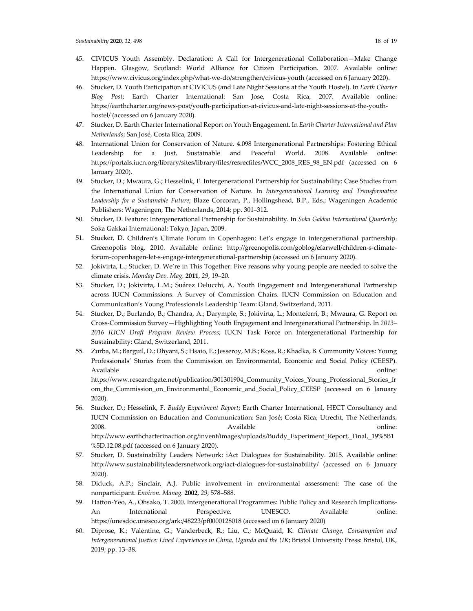- 45. CIVICUS Youth Assembly. Declaration: A Call for Intergenerational Collaboration*—*Make Change Happen. Glasgow, Scotland: World Alliance for Citizen Participation. 2007. Available online: https://www.civicus.org/index.php/what-we-do/strengthen/civicus-youth (accessed on 6 January 2020).
- 46. Stucker, D. Youth Participation at CIVICUS (and Late Night Sessions at the Youth Hostel). In *Earth Charter Blog Post*; Earth Charter International: San Jose, Costa Rica, 2007. Available online: https://earthcharter.org/news‐post/youth‐participation‐at‐civicus‐and‐late‐night‐sessions‐at‐the‐youth‐ hostel/ (accessed on 6 January 2020).
- 47. Stucker, D. Earth Charter International Report on Youth Engagement. In *Earth Charter International and Plan Netherlands*; San José, Costa Rica, 2009.
- 48. International Union for Conservation of Nature*.* 4.098 Intergenerational Partnerships: Fostering Ethical Leadership for a Just, Sustainable and Peaceful World. 2008. Available online: https://portals.iucn.org/library/sites/library/files/resrecfiles/WCC\_2008\_RES\_98\_EN.pdf (accessed on 6 January 2020).
- 49. Stucker, D.; Mwaura, G.; Hesselink, F. Intergenerational Partnership for Sustainability: Case Studies from the International Union for Conservation of Nature. In *Intergenerational Learning and Transformative Leadership for a Sustainable Future*; Blaze Corcoran, P., Hollingshead, B.P., Eds.; Wageningen Academic Publishers: Wageningen, The Netherlands, 2014; pp. 301–312.
- 50. Stucker, D. Feature: Intergenerational Partnership for Sustainability. In *Soka Gakkai International Quarterly*; Soka Gakkai International: Tokyo, Japan, 2009.
- 51. Stucker, D. Children's Climate Forum in Copenhagen: Let's engage in intergenerational partnership. Greenopolis blog. 2010. Available online: http://greenopolis.com/goblog/efarwell/children-s-climateforum‐copenhagen‐let‐s‐engage‐intergenerational‐partnership (accessed on 6 January 2020).
- 52. Jokivirta, L.; Stucker, D. We're in This Together: Five reasons why young people are needed to solve the climate crisis. *Monday Dev. Mag.* **2011**, *29*, 19–20.
- 53. Stucker, D.; Jokivirta, L.M.; Suárez Delucchi, A. Youth Engagement and Intergenerational Partnership across IUCN Commissions: A Survey of Commission Chairs. IUCN Commission on Education and Communication's Young Professionals Leadership Team: Gland, Switzerland, 2011.
- 54. Stucker, D.; Burlando, B.; Chandra, A.; Darymple, S.; Jokivirta, L.; Monteferri, B.; Mwaura, G. Report on Cross‐Commission Survey—Highlighting Youth Engagement and Intergenerational Partnership. In *2013– 2016 IUCN Draft Program Review Process*; IUCN Task Force on Intergenerational Partnership for Sustainability: Gland, Switzerland, 2011.
- 55. Zurba, M.; Barguil, D.; Dhyani, S.; Hsaio, E.; Jesseroy, M.B.; Koss, R.; Khadka, B. Community Voices: Young Professionals' Stories from the Commission on Environmental, Economic and Social Policy (CEESP). Available online: the contract of the contract of the contract of the contract of the contract of the contract online:

https://www.researchgate.net/publication/301301904\_Community\_Voices\_Young\_Professional\_Stories\_fr om\_the\_Commission\_on\_Environmental\_Economic\_and\_Social\_Policy\_CEESP (accessed on 6 January 2020).

- 56. Stucker, D.; Hesselink, F. *Buddy Experiment Report*; Earth Charter International, HECT Consultancy and IUCN Commission on Education and Communication: San José; Costa Rica; Utrecht, The Netherlands, 2008. Available online: http://www.earthcharterinaction.org/invent/images/uploads/Buddy\_Experiment\_Report,\_Final,\_19%5B1 %5D.12.08.pdf (accessed on 6 January 2020).
- 57. Stucker, D. Sustainability Leaders Network: iAct Dialogues for Sustainability. 2015. Available online: http://www.sustainabilityleadersnetwork.org/iact‐dialogues‐for‐sustainability/ (accessed on 6 January 2020).
- 58. Diduck, A.P.; Sinclair, A.J. Public involvement in environmental assessment: The case of the nonparticipant. *Environ. Manag.* **2002**, *29*, 578–588.
- 59. Hatton‐Yeo, A., Ohsako, T. 2000. Intergenerational Programmes: Public Policy and Research Implications‐ An International Perspective. UNESCO. Available online: https://unesdoc.unesco.org/ark:/48223/pf0000128018 (accessed on 6 January 2020)
- 60. Diprose, K.; Valentine, G.; Vanderbeck, R.; Liu, C.; McQuaid, K. *Climate Change, Consumption and Intergenerational Justice: Lived Experiences in China, Uganda and the UK*; Bristol University Press: Bristol, UK, 2019; pp. 13–38.